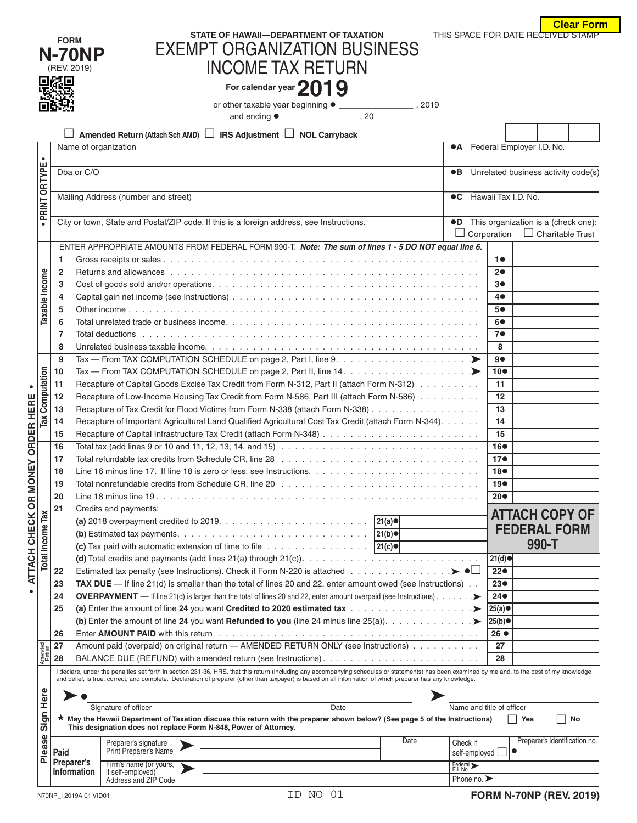|                                  |  | <u>. Viuu Lull</u> |  |  |
|----------------------------------|--|--------------------|--|--|
| IS SPACE FOR DATE RECEIVED STAMP |  |                    |  |  |

|                        |                         |                                                                                                            |                                                                                                                                                                                                                                                                                                                                                               |                                     |                                 | <b>Clear Form</b>                             |  |  |
|------------------------|-------------------------|------------------------------------------------------------------------------------------------------------|---------------------------------------------------------------------------------------------------------------------------------------------------------------------------------------------------------------------------------------------------------------------------------------------------------------------------------------------------------------|-------------------------------------|---------------------------------|-----------------------------------------------|--|--|
|                        |                         | <b>FORM</b>                                                                                                | STATE OF HAWAII-DEPARTMENT OF TAXATION                                                                                                                                                                                                                                                                                                                        |                                     |                                 | THIS SPACE FOR DATE RECEIVED STAMP            |  |  |
|                        |                         | <b>N-70NP</b>                                                                                              | <b>EXEMPT ORGANIZATION BUSINESS</b>                                                                                                                                                                                                                                                                                                                           |                                     |                                 |                                               |  |  |
|                        |                         | (REV. 2019)                                                                                                | <b>INCOME TAX RETURN</b>                                                                                                                                                                                                                                                                                                                                      |                                     |                                 |                                               |  |  |
|                        |                         | 微電                                                                                                         |                                                                                                                                                                                                                                                                                                                                                               |                                     |                                 |                                               |  |  |
|                        |                         |                                                                                                            | For calendar year 2019                                                                                                                                                                                                                                                                                                                                        |                                     |                                 |                                               |  |  |
|                        |                         |                                                                                                            |                                                                                                                                                                                                                                                                                                                                                               |                                     |                                 |                                               |  |  |
|                        |                         |                                                                                                            |                                                                                                                                                                                                                                                                                                                                                               |                                     |                                 |                                               |  |  |
|                        |                         |                                                                                                            | <b>IRS Adjustment <math>\Box</math> NOL Carryback</b><br>Amended Return (Attach Sch AMD)                                                                                                                                                                                                                                                                      |                                     |                                 |                                               |  |  |
|                        |                         | Name of organization                                                                                       |                                                                                                                                                                                                                                                                                                                                                               |                                     |                                 | <b>•A</b> Federal Employer I.D. No.           |  |  |
| $\bullet$              |                         |                                                                                                            |                                                                                                                                                                                                                                                                                                                                                               | $\bullet$ B                         |                                 |                                               |  |  |
| PRINT OR TYPE          |                         | Dba or C/O                                                                                                 |                                                                                                                                                                                                                                                                                                                                                               | Unrelated business activity code(s) |                                 |                                               |  |  |
|                        |                         | Mailing Address (number and street)                                                                        |                                                                                                                                                                                                                                                                                                                                                               | <b>C</b> Hawaii Tax I.D. No.        |                                 |                                               |  |  |
|                        |                         |                                                                                                            |                                                                                                                                                                                                                                                                                                                                                               |                                     |                                 |                                               |  |  |
|                        |                         |                                                                                                            | City or town, State and Postal/ZIP code. If this is a foreign address, see Instructions.                                                                                                                                                                                                                                                                      |                                     |                                 | <b>OD</b> This organization is a (check one): |  |  |
|                        |                         |                                                                                                            |                                                                                                                                                                                                                                                                                                                                                               |                                     | Corporation                     | $\perp$<br>Charitable Trust                   |  |  |
|                        |                         |                                                                                                            | ENTER APPROPRIATE AMOUNTS FROM FEDERAL FORM 990-T. Note: The sum of lines 1 - 5 DO NOT equal line 6.                                                                                                                                                                                                                                                          |                                     |                                 |                                               |  |  |
|                        |                         | 1                                                                                                          |                                                                                                                                                                                                                                                                                                                                                               |                                     | 10                              |                                               |  |  |
|                        |                         | $\overline{2}$                                                                                             |                                                                                                                                                                                                                                                                                                                                                               |                                     | 20                              |                                               |  |  |
|                        |                         | 3                                                                                                          |                                                                                                                                                                                                                                                                                                                                                               |                                     | 30                              |                                               |  |  |
|                        | Taxable Income          | 4                                                                                                          |                                                                                                                                                                                                                                                                                                                                                               |                                     | $4\bullet$                      |                                               |  |  |
|                        |                         | 5                                                                                                          |                                                                                                                                                                                                                                                                                                                                                               |                                     | 5●                              |                                               |  |  |
|                        |                         | 6                                                                                                          |                                                                                                                                                                                                                                                                                                                                                               |                                     | 60                              |                                               |  |  |
|                        |                         | 7                                                                                                          |                                                                                                                                                                                                                                                                                                                                                               |                                     | 7●                              |                                               |  |  |
|                        |                         | 8                                                                                                          |                                                                                                                                                                                                                                                                                                                                                               |                                     | 8                               |                                               |  |  |
|                        |                         | 9                                                                                                          | Tax — From TAX COMPUTATION SCHEDULE on page 2, Part I, line 9. $\dots \dots \dots \dots \dots \dots \dots$                                                                                                                                                                                                                                                    |                                     | 90                              |                                               |  |  |
|                        |                         | 10                                                                                                         | Tax — From TAX COMPUTATION SCHEDULE on page 2, Part II, line 14. $\dots \dots \dots \dots \dots \dots \dots$                                                                                                                                                                                                                                                  |                                     | 10 <sup>o</sup>                 |                                               |  |  |
| <b>Tax Computation</b> |                         | 11                                                                                                         | Recapture of Capital Goods Excise Tax Credit from Form N-312, Part II (attach Form N-312)                                                                                                                                                                                                                                                                     |                                     | 11                              |                                               |  |  |
|                        |                         | Recapture of Low-Income Housing Tax Credit from Form N-586, Part III (attach Form N-586)<br>12             | 12                                                                                                                                                                                                                                                                                                                                                            |                                     |                                 |                                               |  |  |
|                        |                         | 13                                                                                                         | Recapture of Tax Credit for Flood Victims from Form N-338 (attach Form N-338)                                                                                                                                                                                                                                                                                 |                                     | 13                              |                                               |  |  |
|                        |                         | Recapture of Important Agricultural Land Qualified Agricultural Cost Tax Credit (attach Form N-344).<br>14 | 14                                                                                                                                                                                                                                                                                                                                                            |                                     |                                 |                                               |  |  |
|                        |                         | 15                                                                                                         |                                                                                                                                                                                                                                                                                                                                                               |                                     |                                 |                                               |  |  |
| <b>ORDER HERE</b>      |                         | 16                                                                                                         | Total tax (add lines 9 or 10 and 11, 12, 13, 14, and 15) $\ldots \ldots \ldots \ldots \ldots \ldots \ldots \ldots \ldots \ldots$                                                                                                                                                                                                                              |                                     | 16●                             |                                               |  |  |
| $\succ$                |                         | 17                                                                                                         |                                                                                                                                                                                                                                                                                                                                                               |                                     | 17 <sub>•</sub>                 |                                               |  |  |
|                        |                         | 18                                                                                                         |                                                                                                                                                                                                                                                                                                                                                               |                                     | 18●                             |                                               |  |  |
|                        |                         | 19                                                                                                         |                                                                                                                                                                                                                                                                                                                                                               |                                     | 19 <sup>o</sup>                 |                                               |  |  |
| ATTACH CHECK OR MONE   |                         | 20                                                                                                         |                                                                                                                                                                                                                                                                                                                                                               |                                     | $20\bullet$                     |                                               |  |  |
|                        |                         | 21                                                                                                         | Credits and payments:                                                                                                                                                                                                                                                                                                                                         |                                     |                                 | <b>ATTACH COPY OF</b>                         |  |  |
|                        | <b>Total Income Tax</b> |                                                                                                            |                                                                                                                                                                                                                                                                                                                                                               |                                     |                                 |                                               |  |  |
|                        |                         |                                                                                                            |                                                                                                                                                                                                                                                                                                                                                               |                                     |                                 | <b>FEDERAL FORM</b>                           |  |  |
|                        |                         |                                                                                                            | (c) Tax paid with automatic extension of time to file $\ldots \ldots \ldots \ldots \ldots$   21(c) $\bullet$                                                                                                                                                                                                                                                  |                                     |                                 | 990-T                                         |  |  |
|                        |                         |                                                                                                            |                                                                                                                                                                                                                                                                                                                                                               |                                     | 21(d)                           |                                               |  |  |
|                        |                         | 22                                                                                                         |                                                                                                                                                                                                                                                                                                                                                               |                                     | 22●                             |                                               |  |  |
|                        |                         | 23                                                                                                         | <b>TAX DUE</b> - If line 21(d) is smaller than the total of lines 20 and 22, enter amount owed (see Instructions) $\ldots$                                                                                                                                                                                                                                    |                                     | 23 <sub>•</sub>                 |                                               |  |  |
| $\bullet$              |                         | 24                                                                                                         | <b>OVERPAYMENT</b> — If line 21(d) is larger than the total of lines 20 and 22, enter amount overpaid (see Instructions). $\ldots \ldots$                                                                                                                                                                                                                     |                                     | $24\bullet$                     |                                               |  |  |
|                        |                         | 25                                                                                                         | (a) Enter the amount of line 24 you want Credited to 2020 estimated tax >                                                                                                                                                                                                                                                                                     |                                     | 25(a)●                          |                                               |  |  |
|                        |                         |                                                                                                            |                                                                                                                                                                                                                                                                                                                                                               |                                     | 25(b)                           |                                               |  |  |
|                        |                         | 26                                                                                                         |                                                                                                                                                                                                                                                                                                                                                               |                                     | 26 ●                            |                                               |  |  |
|                        |                         | 27                                                                                                         | Amount paid (overpaid) on original return - AMENDED RETURN ONLY (see Instructions)                                                                                                                                                                                                                                                                            |                                     | 27                              |                                               |  |  |
| Amended<br>Potum       |                         | 28                                                                                                         |                                                                                                                                                                                                                                                                                                                                                               |                                     | 28                              |                                               |  |  |
|                        |                         |                                                                                                            | I declare, under the penalties set forth in section 231-36, HRS, that this return (including any accompanying schedules or statements) has been examined by me and, to the best of my knowledge<br>and belief, is true, correct, and complete. Declaration of preparer (other than taxpayer) is based on all information of which preparer has any knowledge. |                                     |                                 |                                               |  |  |
|                        |                         |                                                                                                            |                                                                                                                                                                                                                                                                                                                                                               |                                     |                                 |                                               |  |  |
|                        | Here                    |                                                                                                            |                                                                                                                                                                                                                                                                                                                                                               |                                     |                                 |                                               |  |  |
|                        |                         |                                                                                                            | Signature of officer<br>Date                                                                                                                                                                                                                                                                                                                                  |                                     | Name and title of officer       |                                               |  |  |
|                        | Sign                    |                                                                                                            | ★ May the Hawaii Department of Taxation discuss this return with the preparer shown below? (See page 5 of the Instructions)<br>This designation does not replace Form N-848, Power of Attorney.                                                                                                                                                               |                                     |                                 | ∣ Yes<br>No                                   |  |  |
|                        |                         |                                                                                                            | Date<br>Preparer's signature                                                                                                                                                                                                                                                                                                                                  | Check if                            |                                 | Preparer's identification no.                 |  |  |
|                        | Please                  | Paid                                                                                                       | Print Preparer's Name                                                                                                                                                                                                                                                                                                                                         |                                     | self-employed                   |                                               |  |  |
|                        |                         | Preparer's                                                                                                 | Firm's name (or yours,                                                                                                                                                                                                                                                                                                                                        | Federal ><br>E.I. No.               |                                 |                                               |  |  |
|                        |                         | <b>Information</b>                                                                                         | if self-employed)<br>Address and ZIP Code                                                                                                                                                                                                                                                                                                                     |                                     | Phone no. $\blacktriangleright$ |                                               |  |  |
|                        |                         |                                                                                                            |                                                                                                                                                                                                                                                                                                                                                               |                                     |                                 |                                               |  |  |